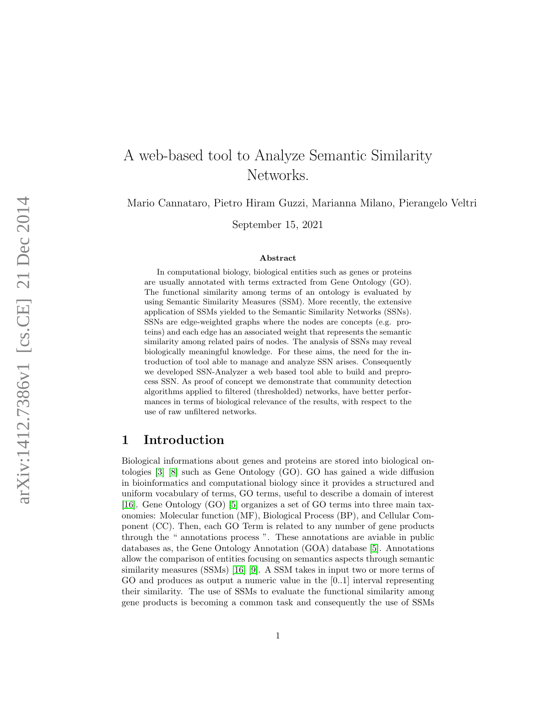# A web-based tool to Analyze Semantic Similarity Networks.

Mario Cannataro, Pietro Hiram Guzzi, Marianna Milano, Pierangelo Veltri

September 15, 2021

#### Abstract

In computational biology, biological entities such as genes or proteins are usually annotated with terms extracted from Gene Ontology (GO). The functional similarity among terms of an ontology is evaluated by using Semantic Similarity Measures (SSM). More recently, the extensive application of SSMs yielded to the Semantic Similarity Networks (SSNs). SSNs are edge-weighted graphs where the nodes are concepts (e.g. proteins) and each edge has an associated weight that represents the semantic similarity among related pairs of nodes. The analysis of SSNs may reveal biologically meaningful knowledge. For these aims, the need for the introduction of tool able to manage and analyze SSN arises. Consequently we developed SSN-Analyzer a web based tool able to build and preprocess SSN. As proof of concept we demonstrate that community detection algorithms applied to filtered (thresholded) networks, have better performances in terms of biological relevance of the results, with respect to the use of raw unfiltered networks.

## 1 Introduction

Biological informations about genes and proteins are stored into biological ontologies [\[3\]](#page-8-0) [\[8\]](#page-9-0) such as Gene Ontology (GO). GO has gained a wide diffusion in bioinformatics and computational biology since it provides a structured and uniform vocabulary of terms, GO terms, useful to describe a domain of interest [\[16\]](#page-9-1). Gene Ontology (GO) [\[5\]](#page-8-1) organizes a set of GO terms into three main taxonomies: Molecular function (MF), Biological Process (BP), and Cellular Component (CC). Then, each GO Term is related to any number of gene products through the " annotations process ". These annotations are aviable in public databases as, the Gene Ontology Annotation (GOA) database [\[5\]](#page-8-1). Annotations allow the comparison of entities focusing on semantics aspects through semantic similarity measures (SSMs) [\[16\]](#page-9-1) [\[9\]](#page-9-2). A SSM takes in input two or more terms of GO and produces as output a numeric value in the [0..1] interval representing their similarity. The use of SSMs to evaluate the functional similarity among gene products is becoming a common task and consequently the use of SSMs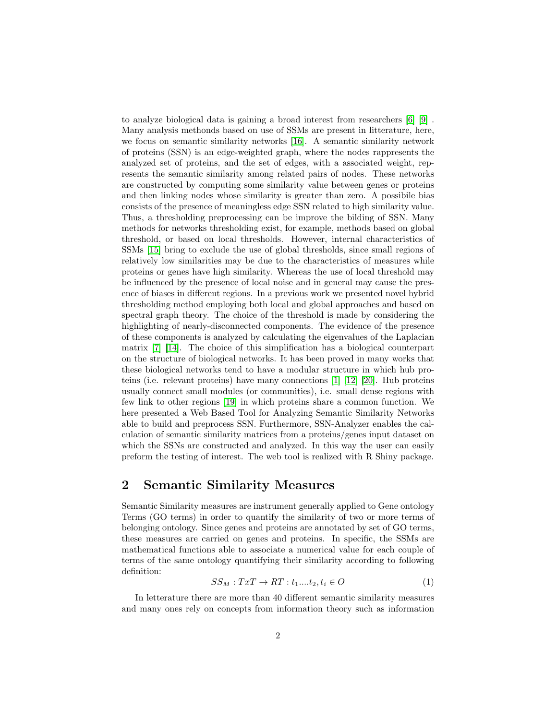to analyze biological data is gaining a broad interest from researchers [\[6\]](#page-8-2) [\[9\]](#page-9-2) . Many analysis methonds based on use of SSMs are present in litterature, here, we focus on semantic similarity networks [\[16\]](#page-9-1). A semantic similarity network of proteins (SSN) is an edge-weighted graph, where the nodes rappresents the analyzed set of proteins, and the set of edges, with a associated weight, represents the semantic similarity among related pairs of nodes. These networks are constructed by computing some similarity value between genes or proteins and then linking nodes whose similarity is greater than zero. A possibile bias consists of the presence of meaningless edge SSN related to high similarity value. Thus, a thresholding preprocessing can be improve the bilding of SSN. Many methods for networks thresholding exist, for example, methods based on global threshold, or based on local thresholds. However, internal characteristics of SSMs [\[15\]](#page-9-3) bring to exclude the use of global thresholds, since small regions of relatively low similarities may be due to the characteristics of measures while proteins or genes have high similarity. Whereas the use of local threshold may be influenced by the presence of local noise and in general may cause the presence of biases in different regions. In a previous work we presented novel hybrid thresholding method employing both local and global approaches and based on spectral graph theory. The choice of the threshold is made by considering the highlighting of nearly-disconnected components. The evidence of the presence of these components is analyzed by calculating the eigenvalues of the Laplacian matrix [\[7\]](#page-8-3) [\[14\]](#page-9-4). The choice of this simplification has a biological counterpart on the structure of biological networks. It has been proved in many works that these biological networks tend to have a modular structure in which hub proteins (i.e. relevant proteins) have many connections [\[1\]](#page-8-4) [\[12\]](#page-9-5) [\[20\]](#page-10-0). Hub proteins usually connect small modules (or communities), i.e. small dense regions with few link to other regions [\[19\]](#page-9-6) in which proteins share a common function. We here presented a Web Based Tool for Analyzing Semantic Similarity Networks able to build and preprocess SSN. Furthermore, SSN-Analyzer enables the calculation of semantic similarity matrices from a proteins/genes input dataset on which the SSNs are constructed and analyzed. In this way the user can easily preform the testing of interest. The web tool is realized with R Shiny package.

### 2 Semantic Similarity Measures

Semantic Similarity measures are instrument generally applied to Gene ontology Terms (GO terms) in order to quantify the similarity of two or more terms of belonging ontology. Since genes and proteins are annotated by set of GO terms, these measures are carried on genes and proteins. In specific, the SSMs are mathematical functions able to associate a numerical value for each couple of terms of the same ontology quantifying their similarity according to following definition:

$$
SS_M: TxT \to RT: t_1...t_2, t_i \in O \tag{1}
$$

In letterature there are more than 40 different semantic similarity measures and many ones rely on concepts from information theory such as information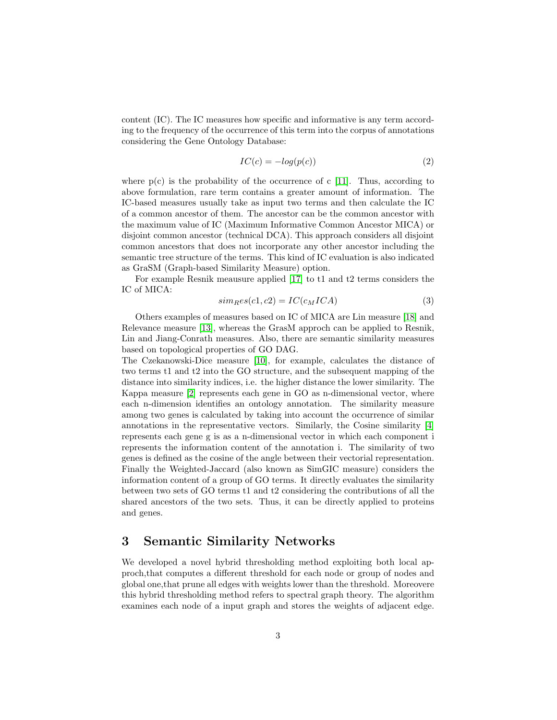content (IC). The IC measures how specific and informative is any term according to the frequency of the occurrence of this term into the corpus of annotations considering the Gene Ontology Database:

$$
IC(c) = -log(p(c))
$$
\n(2)

where  $p(c)$  is the probability of the occurrence of c [\[11\]](#page-9-7). Thus, according to above formulation, rare term contains a greater amount of information. The IC-based measures usually take as input two terms and then calculate the IC of a common ancestor of them. The ancestor can be the common ancestor with the maximum value of IC (Maximum Informative Common Ancestor MICA) or disjoint common ancestor (technical DCA). This approach considers all disjoint common ancestors that does not incorporate any other ancestor including the semantic tree structure of the terms. This kind of IC evaluation is also indicated as GraSM (Graph-based Similarity Measure) option.

For example Resnik meausure applied [\[17\]](#page-9-8) to t1 and t2 terms considers the IC of MICA:

$$
simRes(c1, c2) = IC(cMICA)
$$
\n(3)

Others examples of measures based on IC of MICA are Lin measure [\[18\]](#page-9-9) and Relevance measure [\[13\]](#page-9-10), whereas the GrasM approch can be applied to Resnik, Lin and Jiang-Conrath measures. Also, there are semantic similarity measures based on topological properties of GO DAG.

The Czekanowski-Dice measure [\[10\]](#page-9-11), for example, calculates the distance of two terms t1 and t2 into the GO structure, and the subsequent mapping of the distance into similarity indices, i.e. the higher distance the lower similarity. The Kappa measure [\[2\]](#page-8-5) represents each gene in GO as n-dimensional vector, where each n-dimension identifies an ontology annotation. The similarity measure among two genes is calculated by taking into account the occurrence of similar annotations in the representative vectors. Similarly, the Cosine similarity [\[4\]](#page-8-6) represents each gene g is as a n-dimensional vector in which each component i represents the information content of the annotation i. The similarity of two genes is defined as the cosine of the angle between their vectorial representation. Finally the Weighted-Jaccard (also known as SimGIC measure) considers the information content of a group of GO terms. It directly evaluates the similarity between two sets of GO terms t1 and t2 considering the contributions of all the shared ancestors of the two sets. Thus, it can be directly applied to proteins and genes.

### 3 Semantic Similarity Networks

We developed a novel hybrid thresholding method exploiting both local approch,that computes a different threshold for each node or group of nodes and global one,that prune all edges with weights lower than the threshold. Moreovere this hybrid thresholding method refers to spectral graph theory. The algorithm examines each node of a input graph and stores the weights of adjacent edge.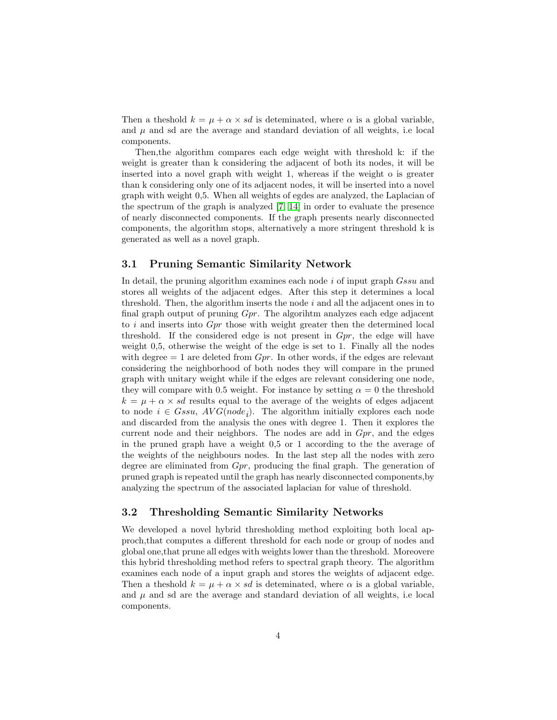Then a theshold  $k = \mu + \alpha \times sd$  is deteminated, where  $\alpha$  is a global variable, and  $\mu$  and sd are the average and standard deviation of all weights, i.e local components.

Then,the algorithm compares each edge weight with threshold k: if the weight is greater than k considering the adjacent of both its nodes, it will be inserted into a novel graph with weight 1, whereas if the weight o is greater than k considering only one of its adjacent nodes, it will be inserted into a novel graph with weight 0,5. When all weights of egdes are analyzed, the Laplacian of the spectrum of the graph is analyzed [\[7,](#page-8-3) [14\]](#page-9-4) in order to evaluate the presence of nearly disconnected components. If the graph presents nearly disconnected components, the algorithm stops, alternatively a more stringent threshold k is generated as well as a novel graph.

#### 3.1 Pruning Semantic Similarity Network

In detail, the pruning algorithm examines each node i of input graph *Gssu* and stores all weights of the adjacent edges. After this step it determines a local threshold. Then, the algorithm inserts the node  $i$  and all the adjacent ones in to final graph output of pruning Gpr. The algorihtm analyzes each edge adjacent to i and inserts into Gpr those with weight greater then the determined local threshold. If the considered edge is not present in  $Gpr$ , the edge will have weight 0,5, otherwise the weight of the edge is set to 1. Finally all the nodes with degree  $= 1$  are deleted from  $Gpr$ . In other words, if the edges are relevant considering the neighborhood of both nodes they will compare in the pruned graph with unitary weight while if the edges are relevant considering one node, they will compare with 0.5 weight. For instance by setting  $\alpha = 0$  the threshold  $k = \mu + \alpha \times sd$  results equal to the average of the weights of edges adjacent to node  $i \in Gssu$ ,  $AVG(node_i)$ . The algorithm initially explores each node and discarded from the analysis the ones with degree 1. Then it explores the current node and their neighbors. The nodes are add in  $Gpr$ , and the edges in the pruned graph have a weight 0,5 or 1 according to the the average of the weights of the neighbours nodes. In the last step all the nodes with zero degree are eliminated from Gpr, producing the final graph. The generation of pruned graph is repeated until the graph has nearly disconnected components,by analyzing the spectrum of the associated laplacian for value of threshold.

#### 3.2 Thresholding Semantic Similarity Networks

We developed a novel hybrid thresholding method exploiting both local approch,that computes a different threshold for each node or group of nodes and global one,that prune all edges with weights lower than the threshold. Moreovere this hybrid thresholding method refers to spectral graph theory. The algorithm examines each node of a input graph and stores the weights of adjacent edge. Then a theshold  $k = \mu + \alpha \times sd$  is deteminated, where  $\alpha$  is a global variable, and  $\mu$  and sd are the average and standard deviation of all weights, i.e local components.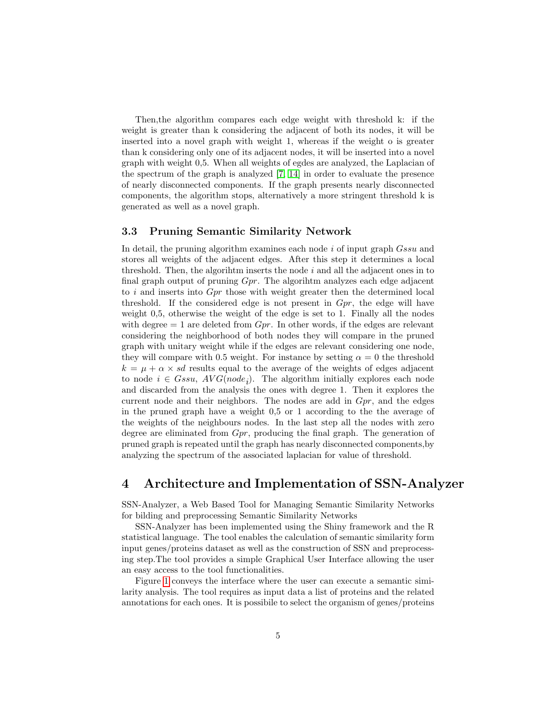Then,the algorithm compares each edge weight with threshold k: if the weight is greater than k considering the adjacent of both its nodes, it will be inserted into a novel graph with weight 1, whereas if the weight o is greater than k considering only one of its adjacent nodes, it will be inserted into a novel graph with weight 0,5. When all weights of egdes are analyzed, the Laplacian of the spectrum of the graph is analyzed [\[7,](#page-8-3) [14\]](#page-9-4) in order to evaluate the presence of nearly disconnected components. If the graph presents nearly disconnected components, the algorithm stops, alternatively a more stringent threshold k is generated as well as a novel graph.

#### 3.3 Pruning Semantic Similarity Network

In detail, the pruning algorithm examines each node i of input graph  $Gssu$  and stores all weights of the adjacent edges. After this step it determines a local threshold. Then, the algorihtm inserts the node  $i$  and all the adjacent ones in to final graph output of pruning Gpr. The algorihtm analyzes each edge adjacent to i and inserts into Gpr those with weight greater then the determined local threshold. If the considered edge is not present in  $Gpr$ , the edge will have weight 0,5, otherwise the weight of the edge is set to 1. Finally all the nodes with degree  $= 1$  are deleted from  $Gpr$ . In other words, if the edges are relevant considering the neighborhood of both nodes they will compare in the pruned graph with unitary weight while if the edges are relevant considering one node, they will compare with 0.5 weight. For instance by setting  $\alpha = 0$  the threshold  $k = \mu + \alpha \times sd$  results equal to the average of the weights of edges adjacent to node  $i \in Gssu$ ,  $AVG(node_i)$ . The algorithm initially explores each node and discarded from the analysis the ones with degree 1. Then it explores the current node and their neighbors. The nodes are add in  $Gpr$ , and the edges in the pruned graph have a weight 0,5 or 1 according to the the average of the weights of the neighbours nodes. In the last step all the nodes with zero degree are eliminated from  $Gpr$ , producing the final graph. The generation of pruned graph is repeated until the graph has nearly disconnected components,by analyzing the spectrum of the associated laplacian for value of threshold.

### 4 Architecture and Implementation of SSN-Analyzer

SSN-Analyzer, a Web Based Tool for Managing Semantic Similarity Networks for bilding and preprocessing Semantic Similarity Networks

SSN-Analyzer has been implemented using the Shiny framework and the R statistical language. The tool enables the calculation of semantic similarity form input genes/proteins dataset as well as the construction of SSN and preprocessing step.The tool provides a simple Graphical User Interface allowing the user an easy access to the tool functionalities.

Figure [1](#page-5-0) conveys the interface where the user can execute a semantic similarity analysis. The tool requires as input data a list of proteins and the related annotations for each ones. It is possibile to select the organism of genes/proteins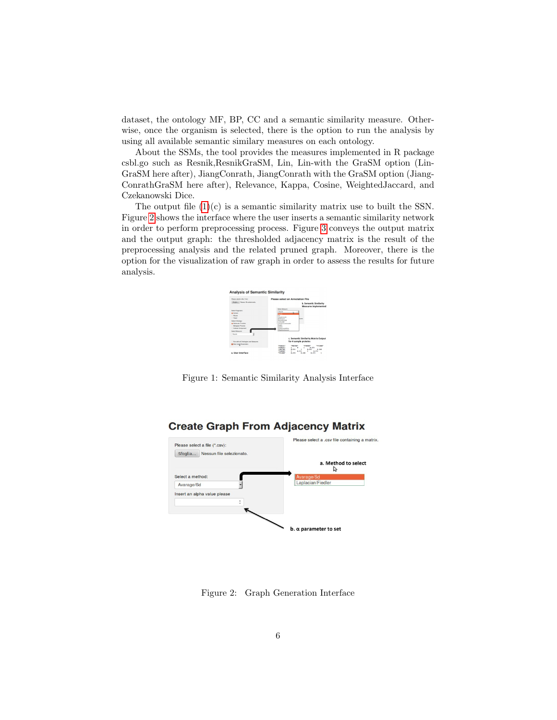dataset, the ontology MF, BP, CC and a semantic similarity measure. Otherwise, once the organism is selected, there is the option to run the analysis by using all available semantic similary measures on each ontology.

About the SSMs, the tool provides the measures implemented in R package csbl.go such as Resnik,ResnikGraSM, Lin, Lin-with the GraSM option (Lin-GraSM here after), JiangConrath, JiangConrath with the GraSM option (Jiang-ConrathGraSM here after), Relevance, Kappa, Cosine, WeightedJaccard, and Czekanowski Dice.

The output file  $(1)(c)$  $(1)(c)$  is a semantic similarity matrix use to built the SSN. Figure [2](#page-5-1) shows the interface where the user inserts a semantic similarity network in order to perform preprocessing process. Figure [3](#page-6-0) conveys the output matrix and the output graph: the thresholded adjacency matrix is the result of the preprocessing analysis and the related pruned graph. Moreover, there is the option for the visualization of raw graph in order to assess the results for future analysis.



<span id="page-5-0"></span>Figure 1: Semantic Similarity Analysis Interface



#### **Create Graph From Adjacency Matrix**

<span id="page-5-1"></span>Figure 2: Graph Generation Interface

 $b. \alpha$  parameter to set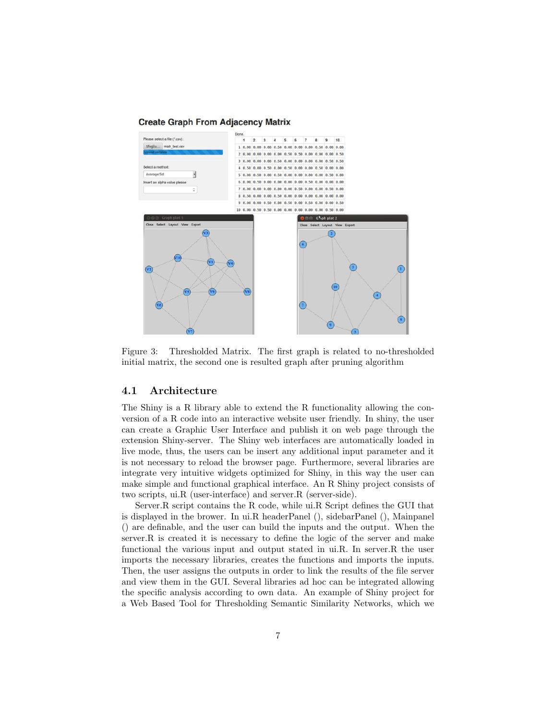#### **Create Graph From Adjacency Matrix**



<span id="page-6-0"></span>Figure 3: Thresholded Matrix. The first graph is related to no-thresholded initial matrix, the second one is resulted graph after pruning algorithm

#### 4.1 Architecture

The Shiny is a R library able to extend the R functionality allowing the conversion of a R code into an interactive website user friendly. In shiny, the user can create a Graphic User Interface and publish it on web page through the extension Shiny-server. The Shiny web interfaces are automatically loaded in live mode, thus, the users can be insert any additional input parameter and it is not necessary to reload the browser page. Furthermore, several libraries are integrate very intuitive widgets optimized for Shiny, in this way the user can make simple and functional graphical interface. An R Shiny project consists of two scripts, ui.R (user-interface) and server.R (server-side).

Server.R script contains the R code, while ui.R Script defines the GUI that is displayed in the brower. In ui.R headerPanel (), sidebarPanel (), Mainpanel () are definable, and the user can build the inputs and the output. When the server.R is created it is necessary to define the logic of the server and make functional the various input and output stated in ui.R. In server.R the user imports the necessary libraries, creates the functions and imports the inputs. Then, the user assigns the outputs in order to link the results of the file server and view them in the GUI. Several libraries ad hoc can be integrated allowing the specific analysis according to own data. An example of Shiny project for a Web Based Tool for Thresholding Semantic Similarity Networks, which we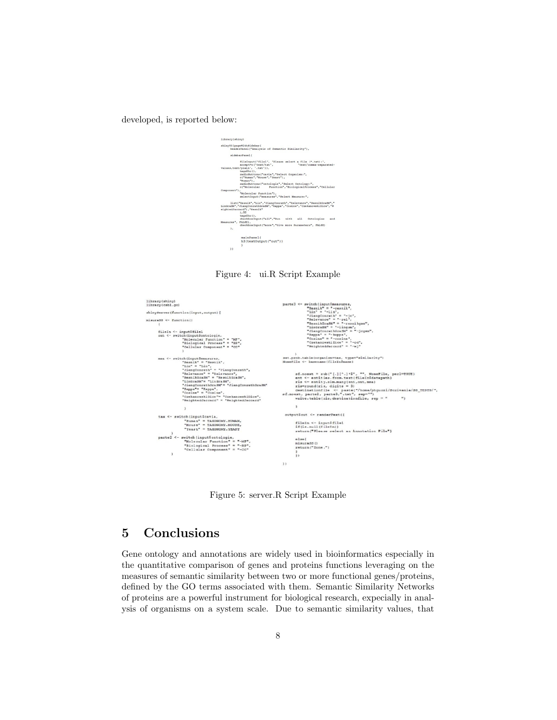developed, is reported below:



Figure 4: ui.R Script Example



Figure 5: server.R Script Example

# 5 Conclusions

Gene ontology and annotations are widely used in bioinformatics especially in the quantitative comparison of genes and proteins functions leveraging on the measures of semantic similarity between two or more functional genes/proteins, defined by the GO terms associated with them. Semantic Similarity Networks of proteins are a powerful instrument for biological research, expecially in analysis of organisms on a system scale. Due to semantic similarity values, that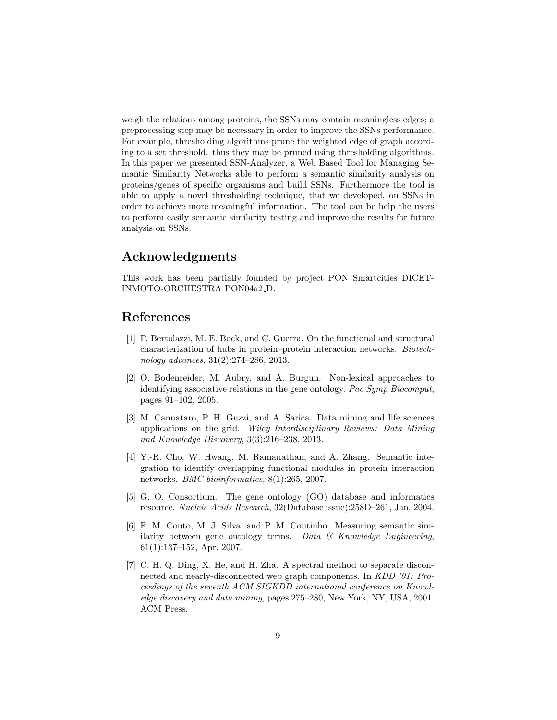weigh the relations among proteins, the SSNs may contain meaningless edges; a preprocessing step may be necessary in order to improve the SSNs performance. For example, thresholding algorithms prune the weighted edge of graph according to a set threshold. thus they may be pruned using thresholding algorithms. In this paper we presented SSN-Analyzer, a Web Based Tool for Managing Semantic Similarity Networks able to perform a semantic similarity analysis on proteins/genes of specific organisms and build SSNs. Furthermore the tool is able to apply a novel thresholding technique, that we developed, on SSNs in order to achieve more meaningful information. The tool can be help the users to perform easily semantic similarity testing and improve the results for future analysis on SSNs.

### Acknowledgments

This work has been partially founded by project PON Smartcities DICET-INMOTO-ORCHESTRA PON04a2 D.

### References

- <span id="page-8-4"></span>[1] P. Bertolazzi, M. E. Bock, and C. Guerra. On the functional and structural characterization of hubs in protein–protein interaction networks. Biotechnology advances, 31(2):274–286, 2013.
- <span id="page-8-5"></span>[2] O. Bodenreider, M. Aubry, and A. Burgun. Non-lexical approaches to identifying associative relations in the gene ontology. Pac Symp Biocomput, pages 91–102, 2005.
- <span id="page-8-0"></span>[3] M. Cannataro, P. H. Guzzi, and A. Sarica. Data mining and life sciences applications on the grid. Wiley Interdisciplinary Reviews: Data Mining and Knowledge Discovery, 3(3):216–238, 2013.
- <span id="page-8-6"></span>[4] Y.-R. Cho, W. Hwang, M. Ramanathan, and A. Zhang. Semantic integration to identify overlapping functional modules in protein interaction networks. BMC bioinformatics, 8(1):265, 2007.
- <span id="page-8-1"></span>[5] G. O. Consortium. The gene ontology (GO) database and informatics resource. Nucleic Acids Research, 32(Database issue):258D–261, Jan. 2004.
- <span id="page-8-2"></span>[6] F. M. Couto, M. J. Silva, and P. M. Coutinho. Measuring semantic similarity between gene ontology terms. Data  $\mathcal{B}$  Knowledge Engineering, 61(1):137–152, Apr. 2007.
- <span id="page-8-3"></span>[7] C. H. Q. Ding, X. He, and H. Zha. A spectral method to separate disconnected and nearly-disconnected web graph components. In KDD '01: Proceedings of the seventh ACM SIGKDD international conference on Knowledge discovery and data mining, pages 275–280, New York, NY, USA, 2001. ACM Press.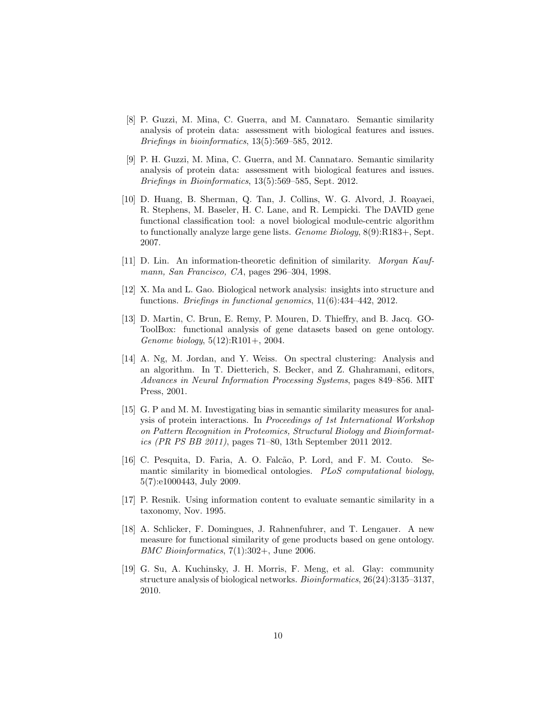- <span id="page-9-0"></span>[8] P. Guzzi, M. Mina, C. Guerra, and M. Cannataro. Semantic similarity analysis of protein data: assessment with biological features and issues. Briefings in bioinformatics, 13(5):569–585, 2012.
- <span id="page-9-2"></span>[9] P. H. Guzzi, M. Mina, C. Guerra, and M. Cannataro. Semantic similarity analysis of protein data: assessment with biological features and issues. Briefings in Bioinformatics, 13(5):569–585, Sept. 2012.
- <span id="page-9-11"></span>[10] D. Huang, B. Sherman, Q. Tan, J. Collins, W. G. Alvord, J. Roayaei, R. Stephens, M. Baseler, H. C. Lane, and R. Lempicki. The DAVID gene functional classification tool: a novel biological module-centric algorithm to functionally analyze large gene lists. Genome Biology, 8(9):R183+, Sept. 2007.
- <span id="page-9-7"></span>[11] D. Lin. An information-theoretic definition of similarity. Morgan Kaufmann, San Francisco, CA, pages 296–304, 1998.
- <span id="page-9-5"></span>[12] X. Ma and L. Gao. Biological network analysis: insights into structure and functions. Briefings in functional genomics, 11(6):434–442, 2012.
- <span id="page-9-10"></span>[13] D. Martin, C. Brun, E. Remy, P. Mouren, D. Thieffry, and B. Jacq. GO-ToolBox: functional analysis of gene datasets based on gene ontology. Genome biology, 5(12):R101+, 2004.
- <span id="page-9-4"></span>[14] A. Ng, M. Jordan, and Y. Weiss. On spectral clustering: Analysis and an algorithm. In T. Dietterich, S. Becker, and Z. Ghahramani, editors, Advances in Neural Information Processing Systems, pages 849–856. MIT Press, 2001.
- <span id="page-9-3"></span>[15] G. P and M. M. Investigating bias in semantic similarity measures for analysis of protein interactions. In Proceedings of 1st International Workshop on Pattern Recognition in Proteomics, Structural Biology and Bioinformatics (PR PS BB 2011), pages 71–80, 13th September 2011 2012.
- <span id="page-9-1"></span>[16] C. Pesquita, D. Faria, A. O. Falcão, P. Lord, and F. M. Couto. Semantic similarity in biomedical ontologies. PLoS computational biology, 5(7):e1000443, July 2009.
- <span id="page-9-8"></span>[17] P. Resnik. Using information content to evaluate semantic similarity in a taxonomy, Nov. 1995.
- <span id="page-9-9"></span>[18] A. Schlicker, F. Domingues, J. Rahnenfuhrer, and T. Lengauer. A new measure for functional similarity of gene products based on gene ontology. BMC Bioinformatics, 7(1):302+, June 2006.
- <span id="page-9-6"></span>[19] G. Su, A. Kuchinsky, J. H. Morris, F. Meng, et al. Glay: community structure analysis of biological networks. Bioinformatics, 26(24):3135–3137, 2010.